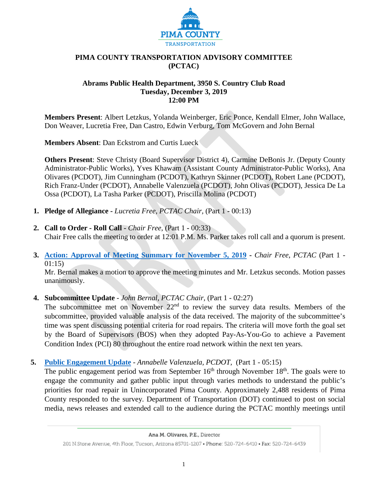

## **PIMA COUNTY TRANSPORTATION ADVISORY COMMITTEE (PCTAC)**

### **Abrams Public Health Department, 3950 S. Country Club Road Tuesday, December 3, 2019 12:00 PM**

**Members Present**: Albert Letzkus, Yolanda Weinberger, Eric Ponce, Kendall Elmer, John Wallace, Don Weaver, Lucretia Free, Dan Castro, Edwin Verburg, Tom McGovern and John Bernal

**Members Absent**: Dan Eckstrom and Curtis Lueck

**Others Present**: Steve Christy (Board Supervisor District 4), Carmine DeBonis Jr. (Deputy County Administrator-Public Works), Yves Khawam (Assistant County Administrator-Public Works), Ana Olivares (PCDOT), Jim Cunningham (PCDOT), Kathryn Skinner (PCDOT), Robert Lane (PCDOT), Rich Franz-Under (PCDOT), Annabelle Valenzuela (PCDOT), John Olivas (PCDOT), Jessica De La Ossa (PCDOT), La Tasha Parker (PCDOT), Priscilla Molina (PCDOT)

- **1. Pledge of Allegiance -** *Lucretia Free, PCTAC Chair,* (Part 1 **-** 00:13)
- **2. Call to Order - Roll Call -** *Chair Free*, (Part 1 **-** 00:33) Chair Free calls the meeting to order at 12:01 P.M. Ms. Parker takes roll call and a quorum is present.
- **3. [Action: Approval of Meeting Summary for November 5, 2019](https://webcms.pima.gov/UserFiles/Servers/Server_6/File/Government/Transportation/TransportationAdvisoryCommittee/Minutes/PCTAC_Meeting%20Minutes%20-%20FINAL%20DRAFT%2010-30-19.pdf) -** *Chair Free*, *PCTAC* (Part 1 01:15)

Mr. Bernal makes a motion to approve the meeting minutes and Mr. Letzkus seconds. Motion passes unanimously.

**4. Subcommittee Update** - *John Bernal, PCTAC Chair,* (Part 1 - 02:27)

The subcommittee met on November  $22<sup>nd</sup>$  to review the survey data results. Members of the subcommittee, provided valuable analysis of the data received. The majority of the subcommittee's time was spent discussing potential criteria for road repairs. The criteria will move forth the goal set by the Board of Supervisors (BOS) when they adopted Pay-As-You-Go to achieve a Pavement Condition Index (PCI) 80 throughout the entire road network within the next ten years.

**5. [Public Engagement Update](https://webcms.pima.gov/UserFiles/Servers/Server_6/File/Government/Transportation/TransportationAdvisoryCommittee/DocumentsTab/Dec3.2019/Public_Engagement_Final-dec3.pdf)** - *Annabelle Valenzuela, PCDOT,* (Part 1 - 05:15)

The public engagement period was from September  $16<sup>th</sup>$  through November  $18<sup>th</sup>$ . The goals were to engage the community and gather public input through varies methods to understand the public's priorities for road repair in Unincorporated Pima County. Approximately 2,488 residents of Pima County responded to the survey. Department of Transportation (DOT) continued to post on social media, news releases and extended call to the audience during the PCTAC monthly meetings until

<sup>201</sup> N.Stone Avenue, 4th Floor, Tucson, Arizona 85701-1207 . Phone: 520-724-6410 . Fax: 520-724-6439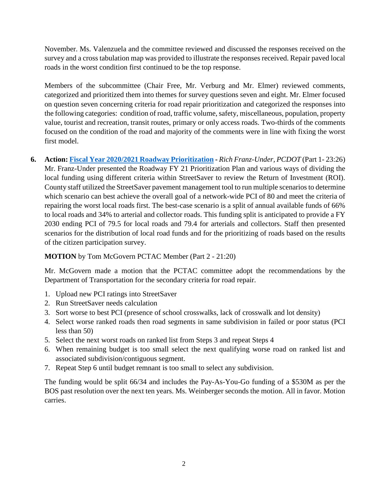November. Ms. Valenzuela and the committee reviewed and discussed the responses received on the survey and a cross tabulation map was provided to illustrate the responses received. Repair paved local roads in the worst condition first continued to be the top response.

Members of the subcommittee (Chair Free, Mr. Verburg and Mr. Elmer) reviewed comments, categorized and prioritized them into themes for survey questions seven and eight. Mr. Elmer focused on question seven concerning criteria for road repair prioritization and categorized the responses into the following categories: condition of road, traffic volume, safety, miscellaneous, population, property value, tourist and recreation, transit routes, primary or only access roads. Two-thirds of the comments focused on the condition of the road and majority of the comments were in line with fixing the worst first model.

**6. Action: [Fiscal Year 2020/2021 Roadway Prioritization](https://webcms.pima.gov/UserFiles/Servers/Server_6/File/Government/Transportation/TransportationAdvisoryCommittee/DocumentsTab/Dec3.2019/191126_Scenarios_for_full_committee_rfu1.pdf) -** *Rich Franz-Under, PCDOT* (Part 1- 23:26) Mr. Franz-Under presented the Roadway FY 21 Prioritization Plan and various ways of dividing the local funding using different criteria within StreetSaver to review the Return of Investment (ROI). County staff utilized the StreetSaver pavement management tool to run multiple scenarios to determine which scenario can best achieve the overall goal of a network-wide PCI of 80 and meet the criteria of repairing the worst local roads first. The best-case scenario is a split of annual available funds of 66% to local roads and 34% to arterial and collector roads. This funding split is anticipated to provide a FY 2030 ending PCI of 79.5 for local roads and 79.4 for arterials and collectors. Staff then presented scenarios for the distribution of local road funds and for the prioritizing of roads based on the results of the citizen participation survey.

### **MOTION** by Tom McGovern PCTAC Member (Part 2 - 21:20)

Mr. McGovern made a motion that the PCTAC committee adopt the recommendations by the Department of Transportation for the secondary criteria for road repair.

- 1. Upload new PCI ratings into StreetSaver
- 2. Run StreetSaver needs calculation
- 3. Sort worse to best PCI (presence of school crosswalks, lack of crosswalk and lot density)
- 4. Select worse ranked roads then road segments in same subdivision in failed or poor status (PCI less than 50)
- 5. Select the next worst roads on ranked list from Steps 3 and repeat Steps 4
- 6. When remaining budget is too small select the next qualifying worse road on ranked list and associated subdivision/contiguous segment.
- 7. Repeat Step 6 until budget remnant is too small to select any subdivision.

The funding would be split 66/34 and includes the Pay-As-You-Go funding of a \$530M as per the BOS past resolution over the next ten years. Ms. Weinberger seconds the motion. All in favor. Motion carries.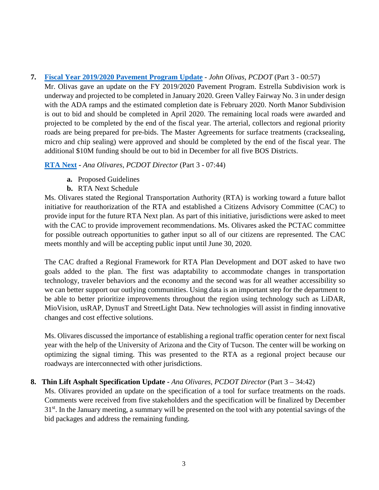# **7. [Fiscal Year 2019/2020 Pavement Program Update](https://webcms.pima.gov/UserFiles/Servers/Server_6/File/Government/Transportation/TransportationAdvisoryCommittee/DocumentsTab/Dec3.2019/PTAC_20191203-PavementProgramUpdate_v0.pdf)** - *John Olivas, PCDOT* (Part 3 - 00:57)

Mr. Olivas gave an update on the FY 2019/2020 Pavement Program. Estrella Subdivision work is underway and projected to be completed in January 2020. Green Valley Fairway No. 3 in under design with the ADA ramps and the estimated completion date is February 2020. North Manor Subdivision is out to bid and should be completed in April 2020. The remaining local roads were awarded and projected to be completed by the end of the fiscal year. The arterial, collectors and regional priority roads are being prepared for pre-bids. The Master Agreements for surface treatments (cracksealing, micro and chip sealing) were approved and should be completed by the end of the fiscal year. The additional \$10M funding should be out to bid in December for all five BOS Districts.

### **[RTA Next](https://webcms.pima.gov/UserFiles/Servers/Server_6/File/Government/Transportation/TransportationAdvisoryCommittee/DocumentsTab/Dec3.2019/RTA_County_CAC_presentationFINAL.pdf) -** *Ana Olivares, PCDOT Director* (Part 3 **-** 07:44)

- **a.** Proposed Guidelines
- **b.** RTA Next Schedule

Ms. Olivares stated the Regional Transportation Authority (RTA) is working toward a future ballot initiative for reauthorization of the RTA and established a Citizens Advisory Committee (CAC) to provide input for the future RTA Next plan. As part of this initiative, jurisdictions were asked to meet with the CAC to provide improvement recommendations. Ms. Olivares asked the PCTAC committee for possible outreach opportunities to gather input so all of our citizens are represented. The CAC meets monthly and will be accepting public input until June 30, 2020.

The CAC drafted a Regional Framework for RTA Plan Development and DOT asked to have two goals added to the plan. The first was adaptability to accommodate changes in transportation technology, traveler behaviors and the economy and the second was for all weather accessibility so we can better support our outlying communities. Using data is an important step for the department to be able to better prioritize improvements throughout the region using technology such as LiDAR, MioVision, usRAP, DynusT and StreetLight Data. New technologies will assist in finding innovative changes and cost effective solutions.

Ms. Olivares discussed the importance of establishing a regional traffic operation center for next fiscal year with the help of the University of Arizona and the City of Tucson. The center will be working on optimizing the signal timing. This was presented to the RTA as a regional project because our roadways are interconnected with other jurisdictions.

### **8. Thin Lift Asphalt Specification Update -** *Ana Olivares, PCDOT Director* (Part 3 – 34:42)

Ms. Olivares provided an update on the specification of a tool for surface treatments on the roads. Comments were received from five stakeholders and the specification will be finalized by December 31<sup>st</sup>. In the January meeting, a summary will be presented on the tool with any potential savings of the bid packages and address the remaining funding.